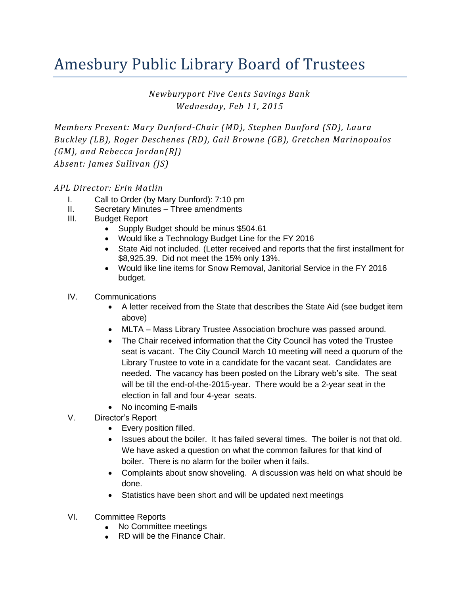## Amesbury Public Library Board of Trustees

*Newburyport Five Cents Savings Bank Wednesday, Feb 11, 2015*

*Members Present: Mary Dunford-Chair (MD), Stephen Dunford (SD), Laura Buckley (LB), Roger Deschenes (RD), Gail Browne (GB), Gretchen Marinopoulos (GM), and Rebecca Jordan(RJ) Absent: James Sullivan (JS)* 

## *APL Director: Erin Matlin*

- I. Call to Order (by Mary Dunford): 7:10 pm
- II. Secretary Minutes Three amendments
- III. Budget Report
	- Supply Budget should be minus \$504.61
	- Would like a Technology Budget Line for the FY 2016
	- State Aid not included. (Letter received and reports that the first installment for \$8,925.39. Did not meet the 15% only 13%.
	- Would like line items for Snow Removal, Janitorial Service in the FY 2016 budget.
- IV. Communications
	- A letter received from the State that describes the State Aid (see budget item above)
	- MLTA Mass Library Trustee Association brochure was passed around.
	- The Chair received information that the City Council has voted the Trustee seat is vacant. The City Council March 10 meeting will need a quorum of the Library Trustee to vote in a candidate for the vacant seat. Candidates are needed. The vacancy has been posted on the Library web's site. The seat will be till the end-of-the-2015-year. There would be a 2-year seat in the election in fall and four 4-year seats.
	- No incoming E-mails
- V. Director's Report
	- Every position filled.
	- Issues about the boiler. It has failed several times. The boiler is not that old. We have asked a question on what the common failures for that kind of boiler. There is no alarm for the boiler when it fails.
	- Complaints about snow shoveling. A discussion was held on what should be done.
	- Statistics have been short and will be updated next meetings
- VI. Committee Reports
	- No Committee meetings
	- **RD** will be the Finance Chair.